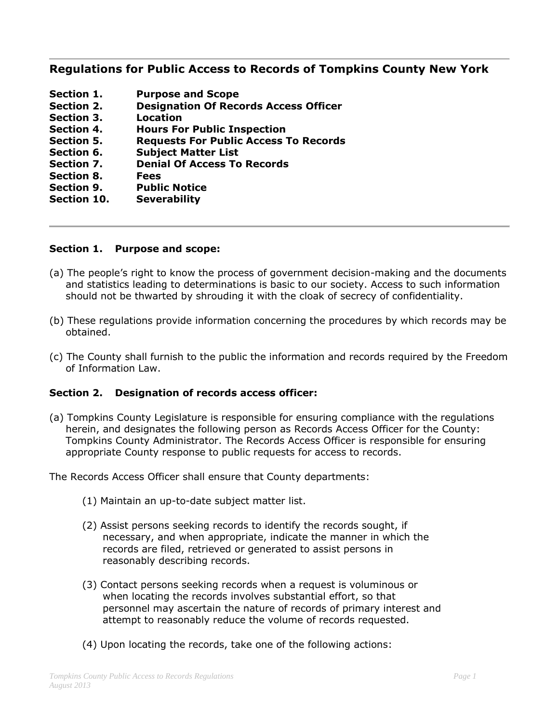# **Regulations for Public Access to Records of Tompkins County New York**

| Section 1.         | <b>Purpose and Scope</b>                     |
|--------------------|----------------------------------------------|
| Section 2.         | <b>Designation Of Records Access Officer</b> |
| Section 3.         | <b>Location</b>                              |
| Section 4.         | <b>Hours For Public Inspection</b>           |
| <b>Section 5.</b>  | <b>Requests For Public Access To Records</b> |
| Section 6.         | <b>Subject Matter List</b>                   |
| Section 7.         | <b>Denial Of Access To Records</b>           |
| <b>Section 8.</b>  | <b>Fees</b>                                  |
| Section 9.         | <b>Public Notice</b>                         |
| <b>Section 10.</b> | <b>Severability</b>                          |

#### **Section 1. Purpose and scope:**

- (a) The people's right to know the process of government decision-making and the documents and statistics leading to determinations is basic to our society. Access to such information should not be thwarted by shrouding it with the cloak of secrecy of confidentiality.
- (b) These regulations provide information concerning the procedures by which records may be obtained.
- (c) The County shall furnish to the public the information and records required by the Freedom of Information Law.

## **Section 2. Designation of records access officer:**

(a) Tompkins County Legislature is responsible for ensuring compliance with the regulations herein, and designates the following person as Records Access Officer for the County: Tompkins County Administrator. The Records Access Officer is responsible for ensuring appropriate County response to public requests for access to records.

The Records Access Officer shall ensure that County departments:

- (1) Maintain an up-to-date subject matter list.
- (2) Assist persons seeking records to identify the records sought, if necessary, and when appropriate, indicate the manner in which the records are filed, retrieved or generated to assist persons in reasonably describing records.
- (3) Contact persons seeking records when a request is voluminous or when locating the records involves substantial effort, so that personnel may ascertain the nature of records of primary interest and attempt to reasonably reduce the volume of records requested.
- (4) Upon locating the records, take one of the following actions: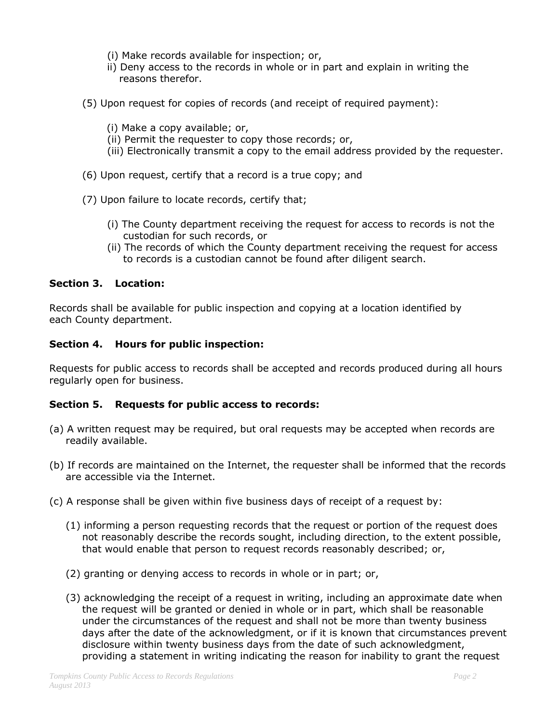- (i) Make records available for inspection; or,
- ii) Deny access to the records in whole or in part and explain in writing the reasons therefor.
- (5) Upon request for copies of records (and receipt of required payment):
	- (i) Make a copy available; or,
	- (ii) Permit the requester to copy those records; or,
	- (iii) Electronically transmit a copy to the email address provided by the requester.
- (6) Upon request, certify that a record is a true copy; and
- (7) Upon failure to locate records, certify that;
	- (i) The County department receiving the request for access to records is not the custodian for such records, or
	- (ii) The records of which the County department receiving the request for access to records is a custodian cannot be found after diligent search.

#### **Section 3. Location:**

Records shall be available for public inspection and copying at a location identified by each County department.

#### **Section 4. Hours for public inspection:**

Requests for public access to records shall be accepted and records produced during all hours regularly open for business.

### **Section 5. Requests for public access to records:**

- (a) A written request may be required, but oral requests may be accepted when records are readily available.
- (b) If records are maintained on the Internet, the requester shall be informed that the records are accessible via the Internet.
- (c) A response shall be given within five business days of receipt of a request by:
	- (1) informing a person requesting records that the request or portion of the request does not reasonably describe the records sought, including direction, to the extent possible, that would enable that person to request records reasonably described; or,
	- (2) granting or denying access to records in whole or in part; or,
	- (3) acknowledging the receipt of a request in writing, including an approximate date when the request will be granted or denied in whole or in part, which shall be reasonable under the circumstances of the request and shall not be more than twenty business days after the date of the acknowledgment, or if it is known that circumstances prevent disclosure within twenty business days from the date of such acknowledgment, providing a statement in writing indicating the reason for inability to grant the request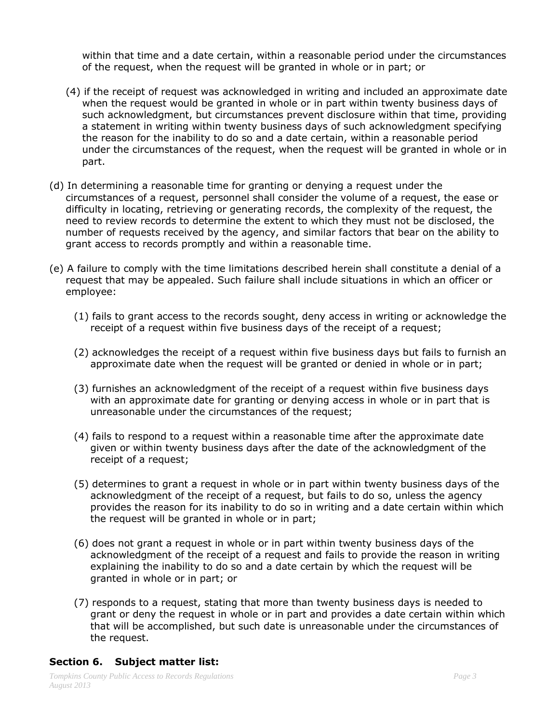within that time and a date certain, within a reasonable period under the circumstances of the request, when the request will be granted in whole or in part; or

- (4) if the receipt of request was acknowledged in writing and included an approximate date when the request would be granted in whole or in part within twenty business days of such acknowledgment, but circumstances prevent disclosure within that time, providing a statement in writing within twenty business days of such acknowledgment specifying the reason for the inability to do so and a date certain, within a reasonable period under the circumstances of the request, when the request will be granted in whole or in part.
- (d) In determining a reasonable time for granting or denying a request under the circumstances of a request, personnel shall consider the volume of a request, the ease or difficulty in locating, retrieving or generating records, the complexity of the request, the need to review records to determine the extent to which they must not be disclosed, the number of requests received by the agency, and similar factors that bear on the ability to grant access to records promptly and within a reasonable time.
- (e) A failure to comply with the time limitations described herein shall constitute a denial of a request that may be appealed. Such failure shall include situations in which an officer or employee:
	- (1) fails to grant access to the records sought, deny access in writing or acknowledge the receipt of a request within five business days of the receipt of a request;
	- (2) acknowledges the receipt of a request within five business days but fails to furnish an approximate date when the request will be granted or denied in whole or in part;
	- (3) furnishes an acknowledgment of the receipt of a request within five business days with an approximate date for granting or denying access in whole or in part that is unreasonable under the circumstances of the request;
	- (4) fails to respond to a request within a reasonable time after the approximate date given or within twenty business days after the date of the acknowledgment of the receipt of a request;
	- (5) determines to grant a request in whole or in part within twenty business days of the acknowledgment of the receipt of a request, but fails to do so, unless the agency provides the reason for its inability to do so in writing and a date certain within which the request will be granted in whole or in part;
	- (6) does not grant a request in whole or in part within twenty business days of the acknowledgment of the receipt of a request and fails to provide the reason in writing explaining the inability to do so and a date certain by which the request will be granted in whole or in part; or
	- (7) responds to a request, stating that more than twenty business days is needed to grant or deny the request in whole or in part and provides a date certain within which that will be accomplished, but such date is unreasonable under the circumstances of the request.

### **Section 6. Subject matter list:**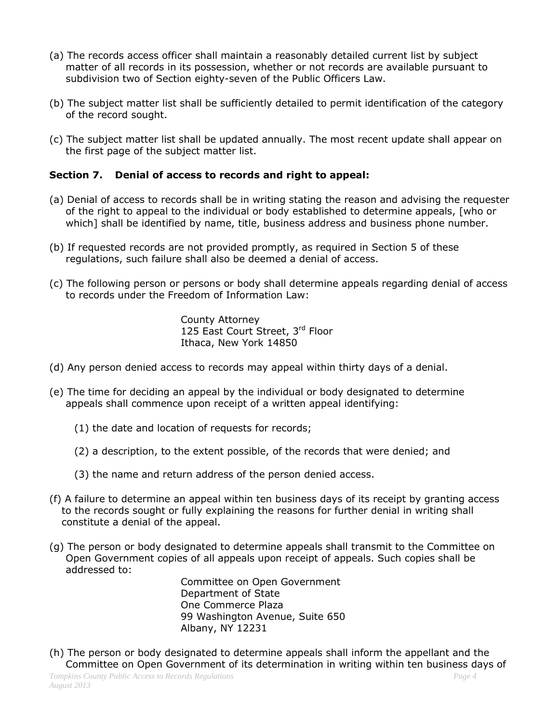- (a) The records access officer shall maintain a reasonably detailed current list by subject matter of all records in its possession, whether or not records are available pursuant to subdivision two of Section eighty-seven of the Public Officers Law.
- (b) The subject matter list shall be sufficiently detailed to permit identification of the category of the record sought.
- (c) The subject matter list shall be updated annually. The most recent update shall appear on the first page of the subject matter list.

## **Section 7. Denial of access to records and right to appeal:**

- (a) Denial of access to records shall be in writing stating the reason and advising the requester of the right to appeal to the individual or body established to determine appeals, [who or which] shall be identified by name, title, business address and business phone number.
- (b) If requested records are not provided promptly, as required in Section 5 of these regulations, such failure shall also be deemed a denial of access.
- (c) The following person or persons or body shall determine appeals regarding denial of access to records under the Freedom of Information Law:

County Attorney 125 East Court Street, 3rd Floor Ithaca, New York 14850

- (d) Any person denied access to records may appeal within thirty days of a denial.
- (e) The time for deciding an appeal by the individual or body designated to determine appeals shall commence upon receipt of a written appeal identifying:
	- (1) the date and location of requests for records;
	- (2) a description, to the extent possible, of the records that were denied; and
	- (3) the name and return address of the person denied access.
- (f) A failure to determine an appeal within ten business days of its receipt by granting access to the records sought or fully explaining the reasons for further denial in writing shall constitute a denial of the appeal.
- (g) The person or body designated to determine appeals shall transmit to the Committee on Open Government copies of all appeals upon receipt of appeals. Such copies shall be addressed to:

Committee on Open Government Department of State One Commerce Plaza 99 Washington Avenue, Suite 650 Albany, NY 12231

(h) The person or body designated to determine appeals shall inform the appellant and the Committee on Open Government of its determination in writing within ten business days of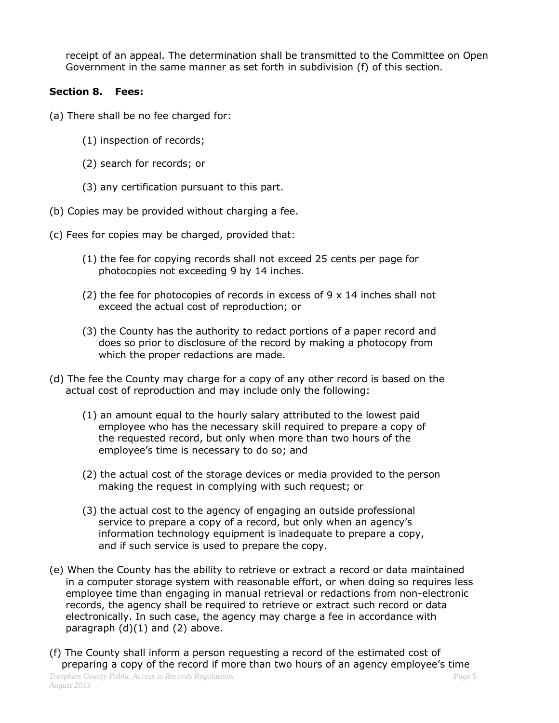receipt of an appeal. The determination shall be transmitted to the Committee on Open Government in the same manner as set forth in subdivision (f) of this section.

## **Section 8. Fees:**

- (a) There shall be no fee charged for:
	- (1) inspection of records;
	- (2) search for records; or
	- (3) any certification pursuant to this part.
- (b) Copies may be provided without charging a fee.
- (c) Fees for copies may be charged, provided that:
	- (1) the fee for copying records shall not exceed 25 cents per page for photocopies not exceeding 9 by 14 inches.
	- (2) the fee for photocopies of records in excess of  $9 \times 14$  inches shall not exceed the actual cost of reproduction; or
	- (3) the County has the authority to redact portions of a paper record and does so prior to disclosure of the record by making a photocopy from which the proper redactions are made.
- (d) The fee the County may charge for a copy of any other record is based on the actual cost of reproduction and may include only the following:
	- (1) an amount equal to the hourly salary attributed to the lowest paid employee who has the necessary skill required to prepare a copy of the requested record, but only when more than two hours of the employee's time is necessary to do so; and
	- (2) the actual cost of the storage devices or media provided to the person making the request in complying with such request; or
	- (3) the actual cost to the agency of engaging an outside professional service to prepare a copy of a record, but only when an agency's information technology equipment is inadequate to prepare a copy, and if such service is used to prepare the copy.
- (e) When the County has the ability to retrieve or extract a record or data maintained in a computer storage system with reasonable effort, or when doing so requires less employee time than engaging in manual retrieval or redactions from non-electronic records, the agency shall be required to retrieve or extract such record or data electronically. In such case, the agency may charge a fee in accordance with paragraph  $(d)(1)$  and  $(2)$  above.
- (f) The County shall inform a person requesting a record of the estimated cost of preparing a copy of the record if more than two hours of an agency employee's time